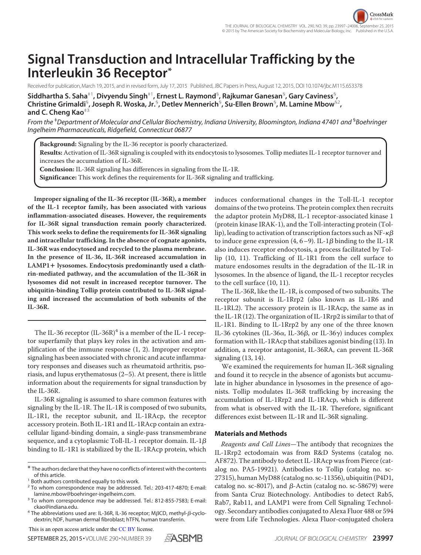# **Signal Transduction and Intracellular Trafficking by the Interleukin 36 Receptor\***

Received for publication, March 19, 2015, and in revised form, July 17, 2015 Published, JBC Papers in Press, August 12, 2015, DOI 10.1074/jbc.M115.653378

**Siddhartha S. Saha**‡1**, Divyendu Singh**‡1**, Ernest L. Raymond**§ **, Rajkumar Ganesan**§ **, Gary Caviness**§ **, Christine Grimaldi**§ **, Joseph R. Woska, Jr.**§ **, Detlev Mennerich**§ **, Su-Ellen Brown**§ **, M. Lamine Mbow**§2 **, and C. Cheng Kao**‡3

*From the* ‡*Department of Molecular and Cellular Biochemistry, Indiana University, Bloomington, Indiana 47401 and* § *Boehringer Ingelheim Pharmaceuticals, Ridgefield, Connecticut 06877*

**Background:** Signaling by the IL-36 receptor is poorly characterized. **Results:** Activation of IL-36R signaling is coupled with its endocytosis to lysosomes. Tollip mediates IL-1 receptor turnover and increases the accumulation of IL-36R. **Conclusion:** IL-36R signaling has differences in signaling from the IL-1R. **Significance:** This work defines the requirements for IL-36R signaling and trafficking.

**Improper signaling of the IL-36 receptor (IL-36R), a member of the IL-1 receptor family, has been associated with various inflammation-associated diseases. However, the requirements for IL-36R signal transduction remain poorly characterized. This work seeks to define the requirements for IL-36R signaling and intracellular trafficking. In the absence of cognate agonists, IL-36R was endocytosed and recycled to the plasma membrane. In the presence of IL-36, IL-36R increased accumulation in** LAMP1+ lysosomes. Endocytosis predominantly used a clath**rin-mediated pathway, and the accumulation of the IL-36R in lysosomes did not result in increased receptor turnover. The ubiquitin-binding Tollip protein contributed to IL-36R signaling and increased the accumulation of both subunits of the IL-36R.**

The IL-36 receptor  $(\text{IL-36R})^4$  is a member of the IL-1 receptor superfamily that plays key roles in the activation and amplification of the immune response (1, 2). Improper receptor signaling has been associated with chronic and acute inflammatory responses and diseases such as rheumatoid arthritis, psoriasis, and lupus erythematosus (2–5). At present, there is little information about the requirements for signal transduction by the IL-36R.

IL-36R signaling is assumed to share common features with signaling by the IL-1R. The IL-1R is composed of two subunits, IL-1R1, the receptor subunit, and IL-1RAcp, the receptor accessory protein. Both IL-1R1 and IL-1RAcp contain an extracellular ligand-binding domain, a single-pass transmembrane sequence, and a cytoplasmic Toll-IL-1 receptor domain. IL-1 $\beta$ binding to IL-1R1 is stabilized by the IL-1RAcp protein, which

This is an open access article under the CC BY license.



induces conformational changes in the Toll-IL-1 receptor domains of the two proteins. The protein complex then recruits the adaptor protein MyD88, IL-1 receptor-associated kinase 1 (protein kinase IRAK-1), and the Toll-interacting protein (Tollip), leading to activation of transcription factors such as NF- $\kappa\beta$ to induce gene expression (4, 6–9). IL-1 $\beta$  binding to the IL-1R also induces receptor endocytosis, a process facilitated by Tollip (10, 11). Trafficking of IL-1R1 from the cell surface to mature endosomes results in the degradation of the IL-1R in lysosomes. In the absence of ligand, the IL-1 receptor recycles to the cell surface (10, 11).

The IL-36R, like the IL-1R, is composed of two subunits. The receptor subunit is IL-1Rrp2 (also known as IL-1R6 and IL-1RL2). The accessory protein is IL-1RAcp, the same as in the IL-1R (12). The organization of IL-1Rrp2 is similar to that of IL-1R1. Binding to IL-1Rrp2 by any one of the three known IL-36 cytokines (IL-36 $\alpha$ , IL-36 $\beta$ , or IL-36 $\gamma$ ) induces complex formation with IL-1RAcp that stabilizes agonist binding (13). In addition, a receptor antagonist, IL-36RA, can prevent IL-36R signaling (13, 14).

We examined the requirements for human IL-36R signaling and found it to recycle in the absence of agonists but accumulate in higher abundance in lysosomes in the presence of agonists. Tollip modulates IL-36R trafficking by increasing the accumulation of IL-1Rrp2 and IL-1RAcp, which is different from what is observed with the IL-1R. Therefore, significant differences exist between IL-1R and IL-36R signaling.

### **Materials and Methods**

Reagents and Cell Lines—The antibody that recognizes the IL-1Rrp2 ectodomain was from R&D Systems (catalog no. AF872). The antibody to detect IL-1RAcp was from Pierce (catalog no. PA5-19921). Antibodies to Tollip (catalog no. sc-27315), human MyD88 (catalog no. sc-11356), ubiquitin (P4D1, catalog no. sc-8017), and  $\beta$ -Actin (catalog no. sc-58679) were from Santa Cruz Biotechnology. Antibodies to detect Rab5, Rab7, Rab11, and LAMP1 were from Cell Signaling Technology. Secondary antibodies conjugated to Alexa Fluor 488 or 594 were from Life Technologies. Alexa Fluor-conjugated cholera

<sup>\*</sup> The authors declare that they have no conflicts of interest with the contents of this article.

 $1$  Both authors contributed equally to this work.

<sup>&</sup>lt;sup>2</sup> To whom correspondence may be addressed. Tel.: 203-417-4870; E-mail: lamine.mbow@boehringer-ingelheim.com.

<sup>&</sup>lt;sup>3</sup> To whom correspondence may be addressed. Tel.: 812-855-7583; E-mail: ckao@indiana.edu.

<sup>&</sup>lt;sup>4</sup> The abbreviations used are: IL-36R, IL-36 receptor; M $\beta$ CD, methyl- $\beta$ -cyclodextrin; hDF, human dermal fibroblast; hTFN, human transferrin.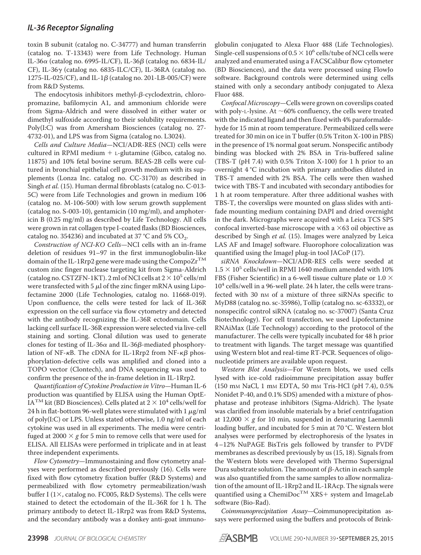toxin B subunit (catalog no. C-34777) and human transferrin (catalog no. T-13343) were from Life Technology. Human IL-36α (catalog no. 6995-IL/CF), IL-36β (catalog no. 6834-IL/ CF), IL-36 $\gamma$  (catalog no. 6835-ILC/CF), IL-36RA (catalog no. 1275-IL-025/CF), and IL-1 $\beta$  (catalog no. 201-LB-005/CF) were from R&D Systems.

The endocytosis inhibitors methyl- $\beta$ -cyclodextrin, chloropromazine, bafilomycin A1, and ammonium chloride were from Sigma-Aldrich and were dissolved in either water or dimethyl sulfoxide according to their solubility requirements. Poly(I:C) was from Amersham Biosciences (catalog no. 27- 4732-01), and LPS was from Sigma (catalog no. L3024).

Cells and Culture Media—NCI/ADR-RES (NCI) cells were cultured in RPMI medium + L-glutamine (Gibco, catalog no. 11875) and 10% fetal bovine serum. BEAS-2B cells were cultured in bronchial epithelial cell growth medium with its supplements (Lonza Inc. catalog no. CC-3170) as described in Singh et al. (15). Human dermal fibroblasts (catalog no. C-013- 5C) were from Life Technologies and grown in medium 106 (catalog no. M-106-500) with low serum growth supplement (catalog no. S-003-10), gentamicin (10 mg/ml), and amphotericin B (0.25 mg/ml) as described by Life Technology. All cells were grown in rat collagen type I-coated flasks (BD Biosciences, catalog no. 354236) and incubated at 37 °C and 5% CO<sub>2</sub>.

Construction of NCI-KO Cells—NCI cells with an in-frame deletion of residues 91–97 in the first immunoglobulin-like domain of the IL-1Rrp2 gene were made using the Compo $\mathrm{Zr}^\mathrm{TM}$ custom zinc finger nuclease targeting kit from Sigma-Aldrich (catalog no. CSTZFN-1KT). 2 ml of NCI cells at  $2 \times 10^5$  cells/ml were transfected with 5  $\mu$  of the zinc finger mRNA using Lipofectamine 2000 (Life Technologies, catalog no. 11668-019). Upon confluence, the cells were tested for lack of IL-36R expression on the cell surface via flow cytometry and detected with the antibody recognizing the IL-36R ectodomain. Cells lacking cell surface IL-36R expression were selected via live-cell staining and sorting. Clonal dilution was used to generate clones for testing of IL-36 $\alpha$  and IL-36 $\beta$ -mediated phosphorylation of NF- $\kappa$ B. The cDNA for IL-1Rrp2 from NF- $\kappa\beta$  phosphorylation-defective cells was amplified and cloned into a TOPO vector (Clontech), and DNA sequencing was used to confirm the presence of the in-frame deletion in IL-1Rrp2.

Quantification of Cytokine Production in Vitro—Human IL-6 production was quantified by ELISA using the Human OptE- $\text{IA}^{\text{\tiny{TM}}}$  kit (BD Biosciences). Cells plated at  $2\times 10^4$  cells/well for 24 h in flat-bottom 96-well plates were stimulated with 1  $\mu$ g/ml of poly(I:C) or LPS. Unless stated otherwise, 1.0 ng/ml of each cytokine was used in all experiments. The media were centrifuged at 2000  $\times$  g for 5 min to remove cells that were used for ELISA. All ELISAs were performed in triplicate and in at least three independent experiments.

Flow Cytometry—Immunostaining and flow cytometry analyses were performed as described previously (16). Cells were fixed with flow cytometry fixation buffer (R&D Systems) and permeabilized with flow cytometry permeabilization/wash buffer I ( $1\times$ , catalog no. FC005, R&D Systems). The cells were stained to detect the ectodomain of the IL-36R for 1 h. The primary antibody to detect IL-1Rrp2 was from R&D Systems, and the secondary antibody was a donkey anti-goat immunoglobulin conjugated to Alexa Fluor 488 (Life Technologies). Single-cell suspensions of 0.5  $\times$  10<sup>6</sup> cells/tube of NCI cells were analyzed and enumerated using a FACSCalibur flow cytometer (BD Biosciences), and the data were processed using FlowJo software. Background controls were determined using cells stained with only a secondary antibody conjugated to Alexa Fluor 488.

Confocal Microscopy—Cells were grown on coverslips coated with poly-L-lysine. At  $~60\%$  confluency, the cells were treated with the indicated ligand and then fixed with 4% paraformaldehyde for 15 min at room temperature. Permeabilized cells were treated for 30 min on ice in T buffer (0.5% Triton X-100 in PBS) in the presence of 1% normal goat serum. Nonspecific antibody binding was blocked with 2% BSA in Tris-buffered saline (TBS-T (pH 7.4) with 0.5% Triton X-100) for 1 h prior to an overnight 4 °C incubation with primary antibodies diluted in TBS-T amended with 2% BSA. The cells were then washed twice with TBS-T and incubated with secondary antibodies for 1 h at room temperature. After three additional washes with TBS-T, the coverslips were mounted on glass slides with antifade mounting medium containing DAPI and dried overnight in the dark. Micrographs were acquired with a Leica TCS SP5 confocal inverted-base microscope with a  $\times$ 63 oil objective as described by Singh *et al.* (15). Images were analyzed by Leica LAS AF and ImageJ software. Fluorophore colocalization was quantified using the ImageJ plug-in tool JACoP (17).

siRNA Knockdown—NCI/ADR-RES cells were seeded at  $1.5 \times 10^5$  cells/well in RPMI 1640 medium amended with 10% FBS (Fisher Scientific) in a 6-well tissue culture plate or 1.0  $\times$ 10<sup>4</sup> cells/well in a 96-well plate. 24 h later, the cells were transfected with 30 nm of a mixture of three siRNAs specific to MyD88 (catalog no. sc-35986), Tollip (catalog no. sc-63332), or nonspecific control siRNA (catalog no. sc-37007) (Santa Cruz Biotechnology). For cell transfection, we used Lipofectamine RNAiMax (Life Technology) according to the protocol of the manufacturer. The cells were typically incubated for 48 h prior to treatment with ligands. The target message was quantified using Western blot and real-time RT-PCR. Sequences of oligonucleotide primers are available upon request.

Western Blot Analysis—For Western blots, we used cells lysed with ice-cold radioimmune precipitation assay buffer (150 mM NaCl, 1 mM EDTA, 50 mM Tris-HCl (pH 7.4), 0.5% Nonidet P-40, and 0.1% SDS) amended with a mixture of phosphatase and protease inhibitors (Sigma-Aldrich). The lysate was clarified from insoluble materials by a brief centrifugation at 12,000  $\times$  g for 10 min, suspended in denaturing Laemmli loading buffer, and incubated for 5 min at 70 °C. Western blot analyses were performed by electrophoresis of the lysates in 4–12% NuPAGE BisTris gels followed by transfer to PVDF membranes as described previously by us (15, 18). Signals from the Western blots were developed with Thermo Supersignal Dura substrate solution. The amount of  $\beta$ -Actin in each sample was also quantified from the same samples to allow normalization of the amount of IL-1Rrp2 and IL-1RAcp. The signals were quantified using a ChemiDoc<sup>TM</sup> XRS+ system and ImageLab software (Bio-Rad).

Coimmunoprecipitation Assay—Coimmunoprecipitation assays were performed using the buffers and protocols of Brink-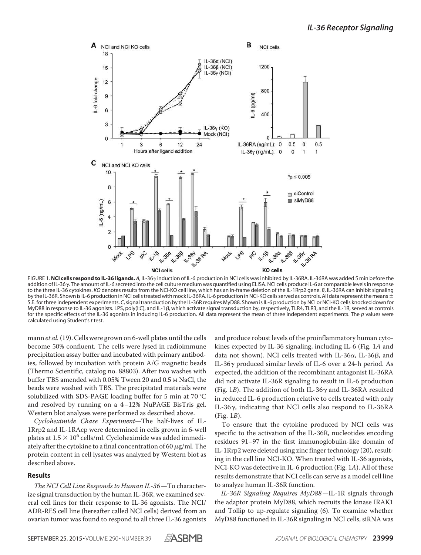

FIGURE 1. NCI cells respond to IL-36 ligands. A, IL-36 y induction of IL-6 production in NCI cells was inhibited by IL-36RA. IL-36RA was added 5 min before the addition of IL-36y. The amount of IL-6 secreted into the cell culture medium was quantified using ELISA. NCI cells produce IL-6 at comparable levels in response to the three IL-36 cytokines. *KO* denotes results from the NCI-KO cell line, which has an in-frame deletion of the IL-1Rrp2 gene. *B*, IL-36RA can inhibit signaling by the IL-36R. Shown is IL-6 production in NCI cells treated with mock IL-36RA. IL-6 production in NCI-KO cells served as controls. All data represent the means ± S.E. for three independent experiments. *C*, signal transduction by the IL-36R requires MyD88. Shown is IL-6 production by NCI or NCI-KO cells knocked down for MyD88 in response to IL-36 agonists. LPS, poly(I:C), and IL-1β, which activate signal transduction by, respectively, TLR4, TLR3, and the IL-1R, served as controls for the specific effects of the IL-36 agonists in inducing IL-6 production. All data represent the mean of three independent experiments. The *p* values were calculated using Student's *t* test.

mann et al. (19). Cells were grown on 6-well plates until the cells become 50% confluent. The cells were lysed in radioimmune precipitation assay buffer and incubated with primary antibodies, followed by incubation with protein A/G magnetic beads (Thermo Scientific, catalog no. 88803). After two washes with buffer TBS amended with 0.05% Tween 20 and 0.5 M NaCl, the beads were washed with TBS. The precipitated materials were solubilized with SDS-PAGE loading buffer for 5 min at 70 °C and resolved by running on a 4–12% NuPAGE BisTris gel. Western blot analyses were performed as described above.

Cycloheximide Chase Experiment—The half-lives of IL-1Rrp2 and IL-1RAcp were determined in cells grown in 6-well plates at  $1.5 \times 10^6$  cells/ml. Cycloheximide was added immediately after the cytokine to a final concentration of 60  $\mu$ g/ml. The protein content in cell lysates was analyzed by Western blot as described above.

### **Results**

The NCI Cell Line Responds to Human IL-36—To characterize signal transduction by the human IL-36R, we examined several cell lines for their response to IL-36 agonists. The NCI/ ADR-RES cell line (hereafter called NCI cells) derived from an ovarian tumor was found to respond to all three IL-36 agonists

and produce robust levels of the proinflammatory human cytokines expected by IL-36 signaling, including IL-6 (Fig. 1A and data not shown). NCI cells treated with IL-36 $\alpha$ , IL-36 $\beta$ , and IL-36 $\gamma$  produced similar levels of IL-6 over a 24-h period. As expected, the addition of the recombinant antagonist IL-36RA did not activate IL-36R signaling to result in IL-6 production (Fig. 1B). The addition of both IL-36 $\gamma$  and IL-36RA resulted in reduced IL-6 production relative to cells treated with only IL-36γ, indicating that NCI cells also respond to IL-36RA (Fig. 1B).

To ensure that the cytokine produced by NCI cells was specific to the activation of the IL-36R, nucleotides encoding residues 91–97 in the first immunoglobulin-like domain of IL-1Rrp2 were deleted using zinc finger technology (20), resulting in the cell line NCI-KO. When treated with IL-36 agonists, NCI-KO was defective in IL-6 production (Fig. 1A). All of these results demonstrate that NCI cells can serve as a model cell line to analyze human IL-36R function.

IL-36R Signaling Requires MyD88—IL-1R signals through the adaptor protein MyD88, which recruits the kinase IRAK1 and Tollip to up-regulate signaling (6). To examine whether MyD88 functioned in IL-36R signaling in NCI cells, siRNA was

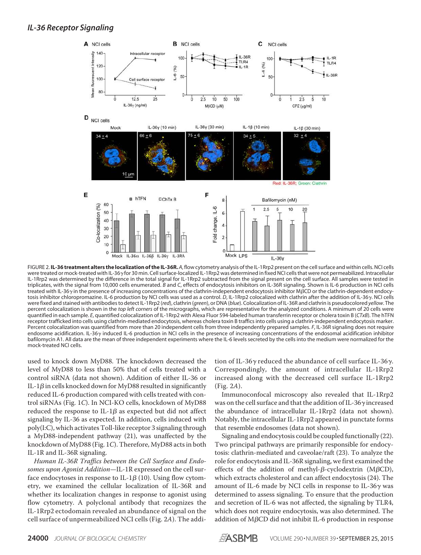

FIGURE 2. **IL-36 treatment alters the localization of the IL-36R.** *A*, flow cytometry analysis of the IL-1Rrp2 present on the cell surface and within cells. NCI cells were treated or mock-treated with IL-36 y for 30 min. Cell surface-localized IL-1Rrp2 was determined in fixed NCI cells that were not permeabilized. Intracellular IL-1Rrp2 was determined by the difference in the total signal for IL-1Rrp2 subtracted from the signal present on the cell surface. All samples were tested in triplicates, with the signal from 10,000 cells enumerated. *B* and *C*, effects of endocytosis inhibitors on IL-36R signaling. Shown is IL-6 production in NCI cells treated with IL-36γin the presence of increasing concentrations of the clathrin-independent endocytosis inhibitor MβCD or the clathrin-dependent endocytosis inhibitor chloropromazine. IL-6 production by NCI cells was used as a control. *D*, IL-1Rrp2 colocalized with clathrin after the addition of IL-36 $\gamma$ . NCI cells were fixed and stained with antibodies to detect IL-1Rrp2 (*red*), clathrin (*green*), or DNA (*blue*). Colocalization of IL-36R and clathrin is pseudocolored *yellow*. The percent colocalization is shown in the *top left corners* of the micrographs, which are representative for the analyzed conditions. A minimum of 20 cells were quantified in each sample. *E*, quantified colocalization of IL-1Rrp2 with Alexa Fluor 594-labeled human transferrin receptor or cholera toxin B (*CTxB*). The hTFN receptor trafficked into cells using clathrin-mediated endocytosis, whereas cholera toxin B traffics into cells using a clathrin-independent endocytosis marker. Percent colocalization was quantified from more than 20 independent cells from three independently prepared samples. *F*, IL-36R signaling does not require endosome acidification. IL-36 y induced IL-6 production in NCI cells in the presence of increasing concentrations of the endosomal acidification inhibitor bafilomycin A1. All data are the mean of three independent experiments where the IL-6 levels secreted by the cells into the medium were normalized for the mock-treated NCI cells.

used to knock down MyD88. The knockdown decreased the level of MyD88 to less than 50% that of cells treated with a control siRNA (data not shown). Addition of either IL-36 or IL-1 $\beta$  in cells knocked down for MyD88 resulted in significantly reduced IL-6 production compared with cells treated with control siRNAs (Fig. 1C). In NCI-KO cells, knockdown of MyD88 reduced the response to IL-1 $\beta$  as expected but did not affect signaling by IL-36 as expected. In addition, cells induced with poly(I:C), which activates Toll-like receptor 3 signaling through a MyD88-independent pathway (21), was unaffected by the knockdown of MyD88 (Fig. 1C). Therefore, MyD88 acts in both IL-1R and IL-36R signaling.

Human IL-36R Traffics between the Cell Surface and Endosomes upon Agonist Addition-IL-1R expressed on the cell surface endocytoses in response to IL-1 $\beta$  (10). Using flow cytometry, we examined the cellular localization of IL-36R and whether its localization changes in response to agonist using flow cytometry. A polyclonal antibody that recognizes the IL-1Rrp2 ectodomain revealed an abundance of signal on the cell surface of unpermeabilized NCI cells (Fig. 2A). The addition of IL-36 $\gamma$  reduced the abundance of cell surface IL-36 $\gamma$ . Correspondingly, the amount of intracellular IL-1Rrp2 increased along with the decreased cell surface IL-1Rrp2 (Fig. 2A).

Immunoconfocal microscopy also revealed that IL-1Rrp2 was on the cell surface and that the addition of IL-36 $\gamma$  increased the abundance of intracellular IL-1Rrp2 (data not shown). Notably, the intracellular IL-1Rrp2 appeared in punctate forms that resemble endosomes (data not shown).

Signaling and endocytosis could be coupled functionally (22). Two principal pathways are primarily responsible for endocytosis: clathrin-mediated and caveolae/raft (23). To analyze the role for endocytosis and IL-36R signaling, we first examined the effects of the addition of methyl- $\beta$ -cyclodextrin (M $\beta$ CD), which extracts cholesterol and can affect endocytosis (24). The amount of IL-6 made by NCI cells in response to IL-36 $\gamma$  was determined to assess signaling. To ensure that the production and secretion of IL-6 was not affected, the signaling by TLR4, which does not require endocytosis, was also determined. The addition of M $\beta$ CD did not inhibit IL-6 production in response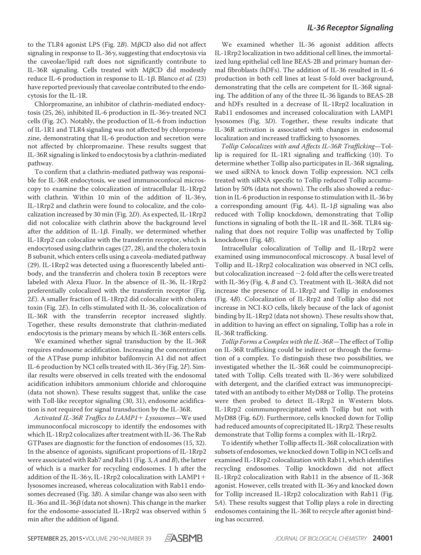to the TLR4 agonist LPS (Fig. 2*B*). M $\beta$ CD also did not affect signaling in response to IL-36 $\gamma$ , suggesting that endocytosis via the caveolae/lipid raft does not significantly contribute to IL-36R signaling. Cells treated with M $\beta$ CD did modestly reduce IL-6 production in response to IL-1β. Blanco et al. (23) have reported previously that caveolae contributed to the endocytosis for the IL-1R.

Chlorpromazine, an inhibitor of clathrin-mediated endocytosis (25, 26), inhibited IL-6 production in IL-36 $\gamma$ -treated NCI cells (Fig. 2C). Notably, the production of IL-6 from induction of IL-1R1 and TLR4 signaling was not affected by chlorpromazine, demonstrating that IL-6 production and secretion were not affected by chlorpromazine. These results suggest that IL-36R signaling is linked to endocytosis by a clathrin-mediated pathway.

To confirm that a clathrin-mediated pathway was responsible for IL-36R endocytosis, we used immunoconfocal microscopy to examine the colocalization of intracellular IL-1Rrp2 with clathrin. Within 10 min of the addition of IL-36 $\gamma$ , IL-1Rrp2 and clathrin were found to colocalize, and the colocalization increased by 30 min (Fig. 2D). As expected, IL-1Rrp2 did not colocalize with clathrin above the background level after the addition of IL-1 $\beta$ . Finally, we determined whether IL-1Rrp2 can colocalize with the transferrin receptor, which is endocytosed using clathrin cages (27, 28), and the cholera toxin B subunit, which enters cells using a caveola-mediated pathway (29). IL-1Rrp2 was detected using a fluorescently labeled antibody, and the transferrin and cholera toxin B receptors were labeled with Alexa Fluor. In the absence of IL-36, IL-1Rrp2 preferentially colocalized with the transferrin receptor (Fig. 2E). A smaller fraction of IL-1Rrp2 did colocalize with cholera toxin (Fig. 2E). In cells stimulated with IL-36, colocalization of IL-36R with the transferrin receptor increased slightly. Together, these results demonstrate that clathrin-mediated endocytosis is the primary means by which IL-36R enters cells.

We examined whether signal transduction by the IL-36R requires endosome acidification. Increasing the concentration of the ATPase pump inhibitor bafilomycin A1 did not affect IL-6 production by NCI cells treated with IL-36 $\gamma$  (Fig. 2F). Similar results were observed in cells treated with the endosomal acidification inhibitors ammonium chloride and chloroquine (data not shown). These results suggest that, unlike the case with Toll-like receptor signaling (30, 31), endosome acidification is not required for signal transduction by the IL-36R.

Activated IL-36R Traffics to LAMP1+ Lysosomes-We used immunoconfocal microscopy to identify the endosomes with which IL-1Rrp2 colocalizes after treatment with IL-36. The Rab GTPases are diagnostic for the function of endosomes (15, 32). In the absence of agonists, significant proportions of IL-1Rrp2 were associated with Rab7 and Rab11 (Fig. 3, A and B), the latter of which is a marker for recycling endosomes. 1 h after the addition of the IL-36 $\gamma$ , IL-1Rrp2 colocalization with LAMP1+ lysosomes increased, whereas colocalization with Rab11 endosomes decreased (Fig. 3B). A similar change was also seen with IL-36 $\alpha$  and IL-36 $\beta$  (data not shown). This change in the marker for the endosome-associated IL-1Rrp2 was observed within 5 min after the addition of ligand.

We examined whether IL-36 agonist addition affects IL-1Rrp2 localization in two additional cell lines, the immortalized lung epithelial cell line BEAS-2B and primary human dermal fibroblasts (hDFs). The addition of IL-36 resulted in IL-6 production in both cell lines at least 5-fold over background, demonstrating that the cells are competent for IL-36R signaling. The addition of any of the three IL-36 ligands to BEAS-2B and hDFs resulted in a decrease of IL-1Rrp2 localization in Rab11 endosomes and increased colocalization with LAMP1 lysosomes (Fig. 3D). Together, these results indicate that IL-36R activation is associated with changes in endosomal localization and increased trafficking to lysosomes.

Tollip Colocalizes with and Affects IL-36R Trafficking—Tollip is required for IL-1R1 signaling and trafficking (10). To determine whether Tollip also participates in IL-36R signaling, we used siRNA to knock down Tollip expression. NCI cells treated with siRNA specific to Tollip reduced Tollip accumulation by 50% (data not shown). The cells also showed a reduction in IL-6 production in response to stimulation with IL-36 by a corresponding amount (Fig. 4A). IL-1 $\beta$  signaling was also reduced with Tollip knockdown, demonstrating that Tollip functions in signaling of both the IL-1R and IL-36R. TLR4 signaling that does not require Tollip was unaffected by Tollip knockdown (Fig. 4B).

Intracellular colocalization of Tollip and IL-1Rrp2 were examined using immunoconfocal microscopy. A basal level of Tollip and IL-1Rrp2 colocalization was observed in NCI cells, but colocalization increased  $\sim$  2-fold after the cells were treated with IL-36 $\gamma$  (Fig. 4, B and C). Treatment with IL-36RA did not increase the presence of IL-1Rrp2 and Tollip in endosomes (Fig. 4B). Colocalization of IL-Rrp2 and Tollip also did not increase in NCI-KO cells, likely because of the lack of agonist binding by IL-1Rrp2 (data not shown). These results show that, in addition to having an effect on signaling, Tollip has a role in IL-36R trafficking.

Tollip Forms a Complex with the IL-36R—The effect of Tollip on IL-36R trafficking could be indirect or through the formation of a complex. To distinguish these two possibilities, we investigated whether the IL-36R could be coimmunoprecipitated with Tollip. Cells treated with IL-36 $\gamma$  were solubilized with detergent, and the clarified extract was immunoprecipitated with an antibody to either MyD88 or Tollip. The proteins were then probed to detect IL-1Rrp2 in Western blots. IL-1Rrp2 coimmunoprecipitated with Tollip but not with MyD88 (Fig. 6D). Furthermore, cells knocked down for Tollip had reduced amounts of coprecipitated IL-1Rrp2. These results demonstrate that Tollip forms a complex with IL-1Rrp2.

To identify whether Tollip affects IL-36R colocalization with subsets of endosomes, we knocked down Tollip in NCI cells and examined IL-1Rrp2 colocalization with Rab11, which identifies recycling endosomes. Tollip knockdown did not affect IL-1Rrp2 colocalization with Rab11 in the absence of IL-36R agonist. However, cells treated with IL-36 $\gamma$  and knocked down for Tollip increased IL-1Rrp2 colocalization with Rab11 (Fig. 5A). These results suggest that Tollip plays a role in directing endosomes containing the IL-36R to recycle after agonist binding has occurred.

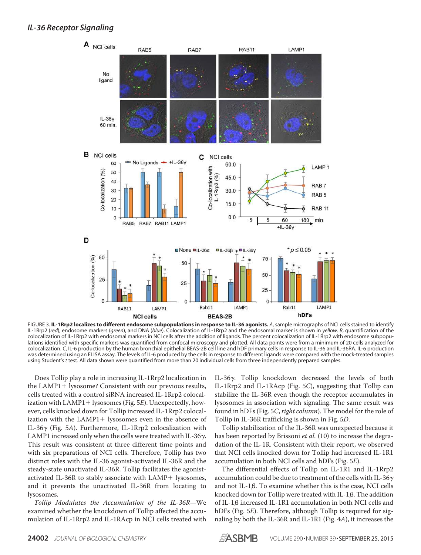## *IL-36 Receptor Signaling*



FIGURE 3. **IL-1Rrp2 localizes to different endosome subpopulations in response to IL-36 agonists.** *A*, sample micrographs of NCI cells stained to identify IL-1Rrp2 (*red*), endosome markers (*green*), and DNA (*blue*). Colocalization of IL-1Rrp2 and the endosomal marker is shown in *yellow*. *B*, quantification of the colocalization of IL-1Rrp2 with endosomal markers in NCI cells after the addition of ligands. The percent colocalization of IL-1Rrp2 with endosome subpopulations identified with specific markers was quantified from confocal microscopy and plotted. All data points were from a minimum of 20 cells analyzed for colocalization. *C*, IL-6 production by the human bronchial epithelial BEAS-2B cell line and hDF primary cells in response to IL-36 and IL-36RA. IL-6 production was determined using an ELISA assay. The levels of IL-6 produced by the cells in response to different ligands were compared with the mock-treated samples using Student's *t* test. All data shown were quantified from more than 20 individual cells from three independently prepared samples.

Does Tollip play a role in increasing IL-1Rrp2 localization in the LAMP1+ lysosome? Consistent with our previous results, cells treated with a control siRNA increased IL-1Rrp2 colocalization with LAMP1 + lysosomes (Fig. 5E). Unexpectedly, however, cells knocked down for Tollip increased IL-1Rrp2 colocalization with the LAMP1+ lysosomes even in the absence of IL-36 $\gamma$  (Fig. 5A). Furthermore, IL-1Rrp2 colocalization with LAMP1 increased only when the cells were treated with IL-36 $\gamma$ . This result was consistent at three different time points and with six preparations of NCI cells. Therefore, Tollip has two distinct roles with the IL-36 agonist-activated IL-36R and the steady-state unactivated IL-36R. Tollip facilitates the agonistactivated IL-36R to stably associate with LAMP+ lysosomes, and it prevents the unactivated IL-36R from locating to lysosomes.

Tollip Modulates the Accumulation of the IL-36R—We examined whether the knockdown of Tollip affected the accumulation of IL-1Rrp2 and IL-1RAcp in NCI cells treated with IL-36γ. Tollip knockdown decreased the levels of both IL-1Rrp2 and IL-1RAcp (Fig. 5C), suggesting that Tollip can stabilize the IL-36R even though the receptor accumulates in lysosomes in association with signaling. The same result was found in hDFs (Fig. 5C, right column). The model for the role of Tollip in IL-36R trafficking is shown in Fig. 5D.

Tollip stabilization of the IL-36R was unexpected because it has been reported by Brissoni *et al.* (10) to increase the degradation of the IL-1R. Consistent with their report, we observed that NCI cells knocked down for Tollip had increased IL-1R1 accumulation in both NCI cells and hDFs (Fig. 5E).

The differential effects of Tollip on IL-1R1 and IL-1Rrp2 accumulation could be due to treatment of the cells with IL-36 $\gamma$ and not IL-1 $\beta$ . To examine whether this is the case, NCI cells knocked down for Tollip were treated with IL-1 $\beta$ . The addition of IL-1 $\beta$  increased IL-1R1 accumulation in both NCI cells and hDFs (Fig. 5E). Therefore, although Tollip is required for signaling by both the IL-36R and IL-1R1 (Fig. 4A), it increases the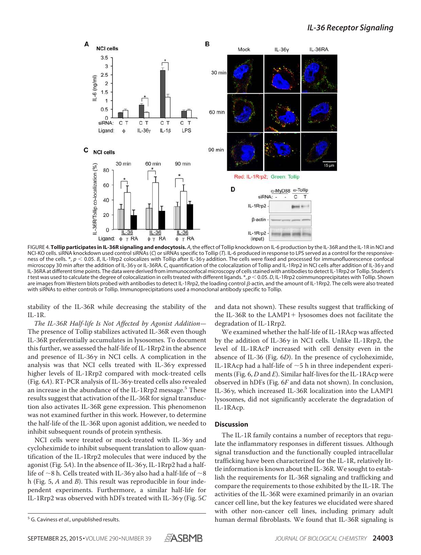

FIGURE 4. **Tollip participates in IL-36R signaling and endocytosis.** *A*, the effect of Tollip knockdown on IL-6 production by the IL-36R and the IL-1R in NCI and NCI-KO cells. siRNA knockdown used control siRNAs (*C*) or siRNAs specific to Tollip (*T*). IL-6 produced in response to LPS served as a control for the responsiveness of the cells. \*,  $p < 0.05$ . *B*, IL-1Rrp2 colocalizes with Tollip after IL-36 y addition. The cells were fixed and processed for immunofluorescence confocal microscopy 30 min after the addition of IL-36 y or IL-36RA. C, quantification of the colocalization of Tollip and IL-1Rrp2 in NCI cells after addition of IL-36 y and IL-36RA at different time points. The data were derived from immunoconfocal microscopy of cells stained with antibodies to detect IL-1Rrp2 or Tollip. Student's *t* test was used to calculate the degree of colocalization in cells treated with different ligands. \*,  $p < 0.05$ . *D*, IL-1Rrp2 coimmunoprecipitates with Tollip. Shown are images from Western blots probed with antibodies to detect IL-1Rrp2, the loading control β-actin, and the amount of IL-1Rrp2. The cells were also treated with siRNAs to either controls or Tollip. Immunoprecipitations used a monoclonal antibody specific to Tollip.

stability of the IL-36R while decreasing the stability of the IL-1R.

The IL-36R Half-life Is Not Affected by Agonist Addition— The presence of Tollip stabilizes activated IL-36R even though IL-36R preferentially accumulates in lysosomes. To document this further, we assessed the half-life of IL-1Rrp2 in the absence and presence of IL-36 $\gamma$  in NCI cells. A complication in the analysis was that NCI cells treated with IL-36 $\gamma$  expressed higher levels of IL-1Rrp2 compared with mock-treated cells (Fig. 6A). RT-PCR analysis of IL-36 $\gamma$ -treated cells also revealed an increase in the abundance of the IL-1Rrp2 message. $5$  These results suggest that activation of the IL-36R for signal transduction also activates IL-36R gene expression. This phenomenon was not examined further in this work. However, to determine the half-life of the IL-36R upon agonist addition, we needed to inhibit subsequent rounds of protein synthesis.

NCI cells were treated or mock-treated with IL-36 $\gamma$  and cycloheximide to inhibit subsequent translation to allow quantification of the IL-1Rrp2 molecules that were induced by the agonist (Fig. 5A). In the absence of IL-36 $\gamma$ , IL-1Rrp2 had a halflife of  $\sim$ 8 h. Cells treated with IL-36 $\gamma$  also had a half-life of  $\sim$ 8 h (Fig. 5, A and B). This result was reproducible in four independent experiments. Furthermore, a similar half-life for IL-1Rrp2 was observed with hDFs treated with IL-36 $\gamma$  (Fig. 5C



and data not shown). These results suggest that trafficking of the IL-36R to the LAMP1+ lysosomes does not facilitate the degradation of IL-1Rrp2.

We examined whether the half-life of IL-1RAcp was affected by the addition of IL-36 $\gamma$  in NCI cells. Unlike IL-1Rrp2, the level of IL-1RAcP increased with cell density even in the absence of IL-36 (Fig. 6D). In the presence of cycloheximide, IL-1RAcp had a half-life of  $\sim$ 5 h in three independent experiments (Fig.  $6$ ,  $D$  and  $E$ ). Similar half-lives for the IL-1RAcp were observed in hDFs (Fig. 6F and data not shown). In conclusion, IL-36, which increased IL-36R localization into the LAMP1 lysosomes, did not significantly accelerate the degradation of IL-1RAcp.

### **Discussion**

The IL-1R family contains a number of receptors that regulate the inflammatory responses in different tissues. Although signal transduction and the functionally coupled intracellular trafficking have been characterized for the IL-1R, relatively little information is known about the IL-36R. We sought to establish the requirements for IL-36R signaling and trafficking and compare the requirements to those exhibited by the IL-1R. The activities of the IL-36R were examined primarily in an ovarian cancer cell line, but the key features we elucidated were shared with other non-cancer cell lines, including primary adult <sup>5</sup> G. Caviness *et al.*, unpublished results. The set of the state of the state of the state of the state of that IL-36R signaling is 5 G. Caviness *et al.*, unpublished results.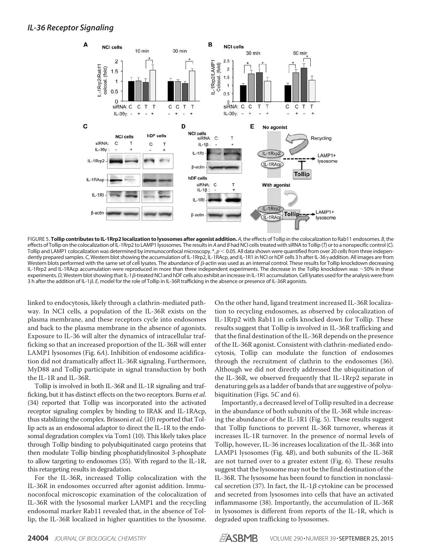## *IL-36 Receptor Signaling*



FIGURE 5. **Tollip contributes to IL-1Rrp2 localization to lysosomes after agonist addition.** *A*, the effects of Tollip in the colocalization to Rab11 endosomes. *B*, the effects of Tollip on the colocalization of IL-1Rrp2 to LAMP1 lysosomes. The results in*A*and*B* had NCI cells treated with siRNA to Tollip (*T*) or to a nonspecific control (*C*). Tollip and LAMP1 colocalization was determined by immunoconfocal microscopy. \*, *p* 0.05. All data shown were quantified from over 20 cells from three independently prepared samples. C, Western blot showing the accumulation of IL-1Rrp2, IL-1RAcp, and IL-1R1 in NCI or hDF cells 3 h after IL-36 y addition. All images are from Western blots performed with the same set of cell lysates. The abundance of  $\beta$ -actin was used as an internal control. These results for Tollip knockdown decreasing IL-1Rrp2 and IL-1RAcp accumulation were reproduced in more than three independent experiments. The decrease in the Tollip knockdown was  $\sim$  50% in these experiments. D, Western blot showing that IL-1ß-treated NCI and hDF cells also exhibit an increase in IL-1R1 accumulation. Cell lysates used for the analysis were from 3 h after the addition of IL-1*ß. E,* model for the role of Tollip in IL-36R trafficking in the absence or presence of IL-36R agonists.

linked to endocytosis, likely through a clathrin-mediated pathway. In NCI cells, a population of the IL-36R exists on the plasma membrane, and these receptors cycle into endosomes and back to the plasma membrane in the absence of agonists. Exposure to IL-36 will alter the dynamics of intracellular trafficking so that an increased proportion of the IL-36R will enter LAMP1 lysosomes (Fig. 6A). Inhibition of endosome acidification did not dramatically affect IL-36R signaling. Furthermore, MyD88 and Tollip participate in signal transduction by both the IL-1R and IL-36R.

Tollip is involved in both IL-36R and IL-1R signaling and trafficking, but it has distinct effects on the two receptors. Burns et al. (34) reported that Tollip was incorporated into the activated receptor signaling complex by binding to IRAK and IL-1RAcp, thus stabilizing the complex. Brissoni et al. (10) reported that Tollip acts as an endosomal adaptor to direct the IL-1R to the endosomal degradation complex via Tom1 (10). This likely takes place through Tollip binding to polyubiquitinated cargo proteins that then modulate Tollip binding phosphatidylinositol 3-phosphate to allow targeting to endosomes (35). With regard to the IL-1R, this retargeting results in degradation.

For the IL-36R, increased Tollip colocalization with the IL-36R in endosomes occurred after agonist addition. Immunoconfocal microscopic examination of the colocalization of IL-36R with the lysosomal marker LAMP1 and the recycling endosomal marker Rab11 revealed that, in the absence of Tollip, the IL-36R localized in higher quantities to the lysosome.

On the other hand, ligand treatment increased IL-36R localization to recycling endosomes, as observed by colocalization of IL-1Rrp2 with Rab11 in cells knocked down for Tollip. These results suggest that Tollip is involved in IL-36R trafficking and that the final destination of the IL-36R depends on the presence of the IL-36R agonist. Consistent with clathrin-mediated endocytosis, Tollip can modulate the function of endosomes through the recruitment of clathrin to the endosomes (36). Although we did not directly addressed the ubiquitination of the IL-36R, we observed frequently that IL-1Rrp2 separate in denaturing gels as a ladder of bands that are suggestive of polyubiquitination (Figs. 5C and 6).

Importantly, a decreased level of Tollip resulted in a decrease in the abundance of both subunits of the IL-36R while increasing the abundance of the IL-1R1 (Fig. 5). These results suggest that Tollip functions to prevent IL-36R turnover, whereas it increases IL-1R turnover. In the presence of normal levels of Tollip, however, IL-36 increases localization of the IL-36R into LAMP1 lysosomes (Fig. 4B), and both subunits of the IL-36R are not turned over to a greater extent (Fig. 6). These results suggest that the lysosome may not be the final destination of the IL-36R. The lysosome has been found to function in nonclassical secretion (37). In fact, the IL-1 $\beta$  cytokine can be processed and secreted from lysosomes into cells that have an activated inflammasome (38). Importantly, the accumulation of IL-36R in lysosomes is different from reports of the IL-1R, which is degraded upon trafficking to lysosomes.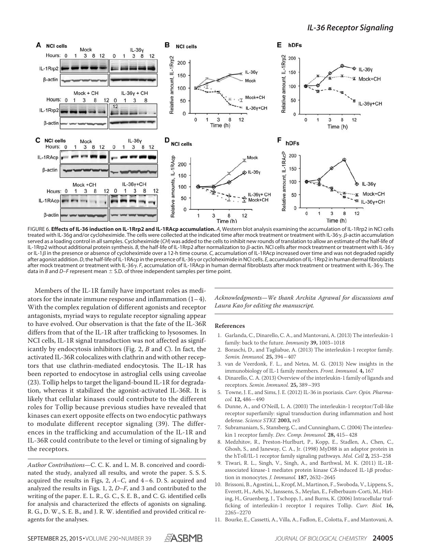

FIGURE 6. **Effects of IL-36 induction on IL-1Rrp2 and IL-1RAcp accumulation.** *A*, Western blot analysis examining the accumulation of IL-1Rrp2 in NCI cells treated with IL-36g and/or cycloheximide. The cells were collected at the indicated time after mock treatment or treatment with IL-36 $\gamma$ .  $\beta$ -actin accumulation served as a loading control in all samples. Cycloheximide (*CH*) was added to the cells to inhibit new rounds of translation to allow an estimate of the half-life of lL-1Rrp2 without additional protein synthesis. *B*, the half-life of IL-1Rrp2 after normalization to β-actin. NCI cells after mock treatment or treatment with IL-36γ or IL-1β in the presence or absence of cycloheximide over a 12-h time course. C, accumulation of IL-1RAcp increased over time and was not degraded rapidly after agonist addition. *D*, the half-life of IL-1RAcp in the presence of IL-36 y or cycloheximide in NCI cells. *E*, accumulation of IL-1Rrp2 in human dermal fibroblasts after mock treatment or treatment with IL-36y. F, accumulation of IL-1RAcp in human dermal fibroblasts after mock treatment or treatment with IL-36y. The data in *B* and *D–F* represent mean  $\pm$  S.D. of three independent samples per time point.

Members of the IL-1R family have important roles as mediators for the innate immune response and inflammation  $(1-4)$ . With the complex regulation of different agonists and receptor antagonists, myriad ways to regulate receptor signaling appear to have evolved. Our observation is that the fate of the IL-36R differs from that of the IL-1R after trafficking to lysosomes. In NCI cells, IL-1R signal transduction was not affected as significantly by endocytosis inhibitors (Fig. 2, B and C). In fact, the activated IL-36R colocalizes with clathrin and with other receptors that use clathrin-mediated endocytosis. The IL-1R has been reported to endocytose in astroglial cells using caveolae (23). Tollip helps to target the ligand-bound IL-1R for degradation, whereas it stabilized the agonist-activated IL-36R. It is likely that cellular kinases could contribute to the different roles for Tollip because previous studies have revealed that kinases can exert opposite effects on two endocytic pathways to modulate different receptor signaling (39). The differences in the trafficking and accumulation of the IL-1R and IL-36R could contribute to the level or timing of signaling by the receptors.

Author Contributions—C. C. K. and L. M. B. conceived and coordinated the study, analyzed all results, and wrote the paper. S. S. S. acquired the results in Figs, 2,  $A - C$ , and  $4 - 6$ . D. S. acquired and analyzed the results in Figs. 1, 2,  $D-F$ , and 3 and contributed to the writing of the paper. E. L. R., G. C., S. E. B., and C. G. identified cells for analysis and characterized the effects of agonists on signaling. R. G., D. W., S. E. B., and J. R. W. identified and provided critical reagents for the analyses.

Acknowledgments—We thank Archita Agrawal for discussions and Laura Kao for editing the manuscript.

#### **References**

- 1. Garlanda, C., Dinarello, C. A., and Mantovani, A. (2013) The interleukin-1 family: back to the future. Immunity **39,** 1003–1018
- 2. Boraschi, D., and Tagliabue, A. (2013) The interleukin-1 receptor family. Semin. Immunol. **25,** 394–407
- 3. van de Veerdonk, F. L., and Netea, M. G. (2013) New insights in the immunobiology of IL-1 family members. Front. Immunol. **4,** 167
- 4. Dinarello, C. A. (2013) Overview of the interleukin-1 family of ligands and receptors. Semin. Immunol. **25,** 389–393
- 5. Towne, J. E., and Sims, J. E. (2012) IL-36 in psoriasis. Curr. Opin. Pharmacol. **12,** 486–490
- 6. Dunne, A., and O'Neill, L. A. (2003) The interleukin-1 receptor/Toll-like receptor superfamily: signal transduction during inflammation and host defense. Science STKE **2003,** re3
- 7. Subramaniam, S., Stansberg, C., and Cunningham, C. (2004) The interleukin 1 receptor family. Dev. Comp. Immunol. **28,** 415–428
- 8. Medzhitov, R., Preston-Hurlburt, P., Kopp, E., Stadlen, A., Chen, C., Ghosh, S., and Janeway, C. A., Jr. (1998) MyD88 is an adaptor protein in the hToll/IL-1 receptor family signaling pathways. Mol. Cell **2,** 253–258
- 9. Tiwari, R. L., Singh, V., Singh, A., and Barthwal, M. K. (2011) IL-1Rassociated kinase-1 mediates protein kinase  $C\delta$ -induced IL-1 $\beta$  production in monocytes. J. Immunol. **187,** 2632–2645
- 10. Brissoni, B., Agostini, L., Kropf, M., Martinon, F., Swoboda, V., Lippens, S., Everett, H., Aebi, N., Janssens, S., Meylan, E., Felberbaum-Corti, M., Hirling, H., Gruenberg, J., Tschopp, J., and Burns, K. (2006) Intracellular trafficking of interleukin-1 receptor I requires Tollip. Curr. Biol. **16,** 2265–2270
- 11. Bourke, E., Cassetti, A., Villa, A., Fadlon, E., Colotta, F., and Mantovani, A.